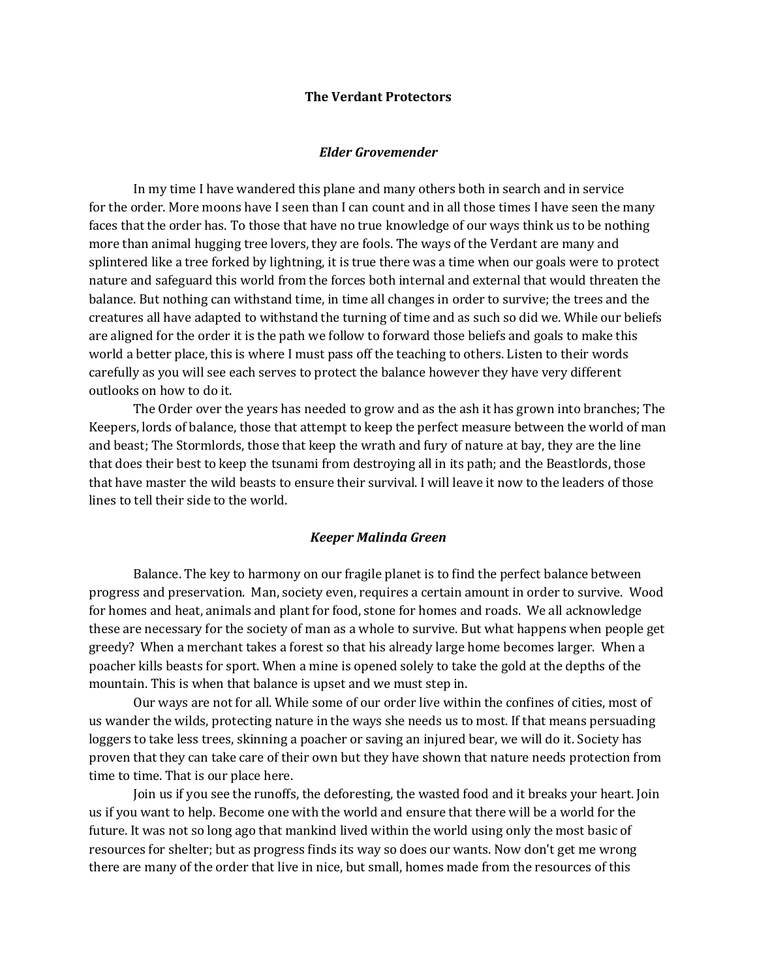#### **The Verdant Protectors**

### *Elder Grovemender*

In my time I have wandered this plane and many others both in search and in service for the order. More moons have I seen than I can count and in all those times I have seen the many faces that the order has. To those that have no true knowledge of our ways think us to be nothing more than animal hugging tree lovers, they are fools. The ways of the Verdant are many and splintered like a tree forked by lightning, it is true there was a time when our goals were to protect nature and safeguard this world from the forces both internal and external that would threaten the balance. But nothing can withstand time, in time all changes in order to survive; the trees and the creatures all have adapted to withstand the turning of time and as such so did we. While our beliefs are aligned for the order it is the path we follow to forward those beliefs and goals to make this world a better place, this is where I must pass off the teaching to others. Listen to their words carefully as you will see each serves to protect the balance however they have very different outlooks on how to do it.

The Order over the years has needed to grow and as the ash it has grown into branches; The Keepers, lords of balance, those that attempt to keep the perfect measure between the world of man and beast; The Stormlords, those that keep the wrath and fury of nature at bay, they are the line that does their best to keep the tsunami from destroying all in its path; and the Beastlords, those that have master the wild beasts to ensure their survival. I will leave it now to the leaders of those lines to tell their side to the world.

#### *Keeper Malinda Green*

Balance. The key to harmony on our fragile planet is to find the perfect balance between progress and preservation. Man, society even, requires a certain amount in order to survive. Wood for homes and heat, animals and plant for food, stone for homes and roads. We all acknowledge these are necessary for the society of man as a whole to survive. But what happens when people get greedy? When a merchant takes a forest so that his already large home becomes larger. When a poacher kills beasts for sport. When a mine is opened solely to take the gold at the depths of the mountain. This is when that balance is upset and we must step in.

Our ways are not for all. While some of our order live within the confines of cities, most of us wander the wilds, protecting nature in the ways she needs us to most. If that means persuading loggers to take less trees, skinning a poacher or saving an injured bear, we will do it. Society has proven that they can take care of their own but they have shown that nature needs protection from time to time. That is our place here.

Join us if you see the runoffs, the deforesting, the wasted food and it breaks your heart. Join us if you want to help. Become one with the world and ensure that there will be a world for the future. It was not so long ago that mankind lived within the world using only the most basic of resources for shelter; but as progress finds its way so does our wants. Now don't get me wrong there are many of the order that live in nice, but small, homes made from the resources of this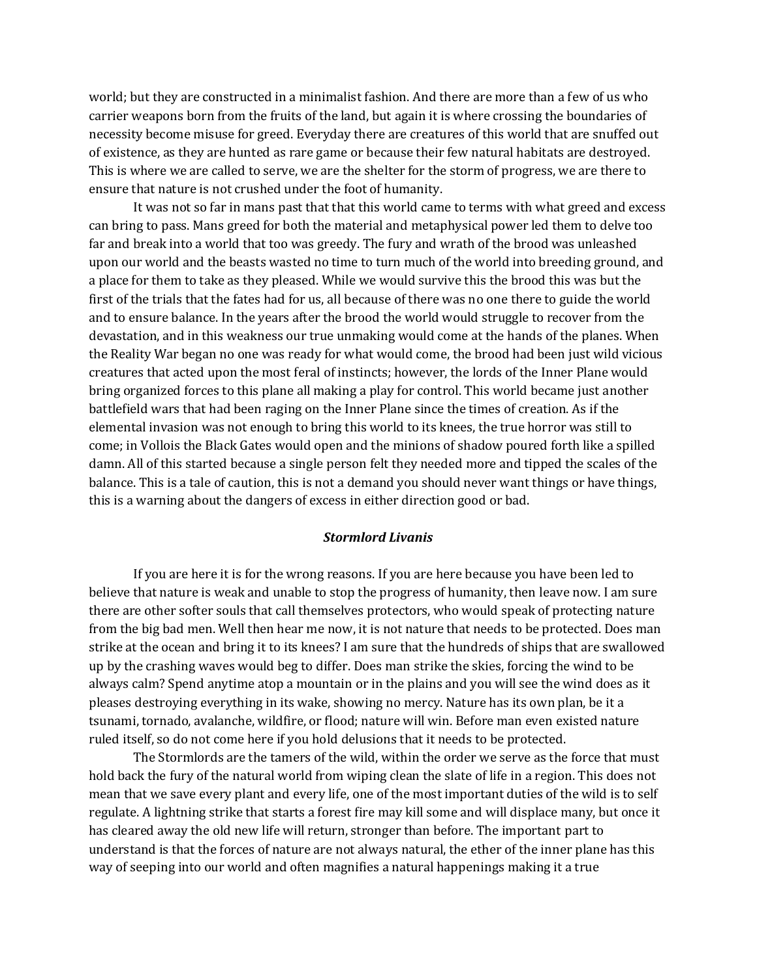world; but they are constructed in a minimalist fashion. And there are more than a few of us who carrier weapons born from the fruits of the land, but again it is where crossing the boundaries of necessity become misuse for greed. Everyday there are creatures of this world that are snuffed out of existence, as they are hunted as rare game or because their few natural habitats are destroyed. This is where we are called to serve, we are the shelter for the storm of progress, we are there to ensure that nature is not crushed under the foot of humanity.

It was not so far in mans past that that this world came to terms with what greed and excess can bring to pass. Mans greed for both the material and metaphysical power led them to delve too far and break into a world that too was greedy. The fury and wrath of the brood was unleashed upon our world and the beasts wasted no time to turn much of the world into breeding ground, and a place for them to take as they pleased. While we would survive this the brood this was but the first of the trials that the fates had for us, all because of there was no one there to guide the world and to ensure balance. In the years after the brood the world would struggle to recover from the devastation, and in this weakness our true unmaking would come at the hands of the planes. When the Reality War began no one was ready for what would come, the brood had been just wild vicious creatures that acted upon the most feral of instincts; however, the lords of the Inner Plane would bring organized forces to this plane all making a play for control. This world became just another battlefield wars that had been raging on the Inner Plane since the times of creation. As if the elemental invasion was not enough to bring this world to its knees, the true horror was still to come; in Vollois the Black Gates would open and the minions of shadow poured forth like a spilled damn. All of this started because a single person felt they needed more and tipped the scales of the balance. This is a tale of caution, this is not a demand you should never want things or have things, this is a warning about the dangers of excess in either direction good or bad.

# *Stormlord Livanis*

If you are here it is for the wrong reasons. If you are here because you have been led to believe that nature is weak and unable to stop the progress of humanity, then leave now. I am sure there are other softer souls that call themselves protectors, who would speak of protecting nature from the big bad men. Well then hear me now, it is not nature that needs to be protected. Does man strike at the ocean and bring it to its knees? I am sure that the hundreds of ships that are swallowed up by the crashing waves would beg to differ. Does man strike the skies, forcing the wind to be always calm? Spend anytime atop a mountain or in the plains and you will see the wind does as it pleases destroying everything in its wake, showing no mercy. Nature has its own plan, be it a tsunami, tornado, avalanche, wildfire, or flood; nature will win. Before man even existed nature ruled itself, so do not come here if you hold delusions that it needs to be protected.

The Stormlords are the tamers of the wild, within the order we serve as the force that must hold back the fury of the natural world from wiping clean the slate of life in a region. This does not mean that we save every plant and every life, one of the most important duties of the wild is to self regulate. A lightning strike that starts a forest fire may kill some and will displace many, but once it has cleared away the old new life will return, stronger than before. The important part to understand is that the forces of nature are not always natural, the ether of the inner plane has this way of seeping into our world and often magnifies a natural happenings making it a true